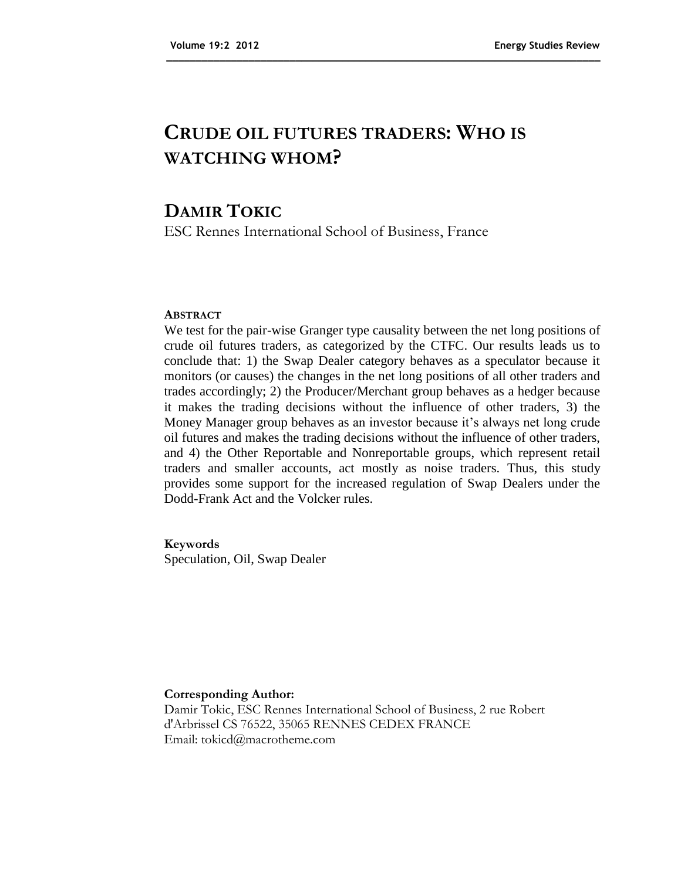# **CRUDE OIL FUTURES TRADERS: WHO IS WATCHING WHOM?**

**\_\_\_\_\_\_\_\_\_\_\_\_\_\_\_\_\_\_\_\_\_\_\_\_\_\_\_\_\_\_\_\_\_\_\_\_\_\_\_\_\_\_\_\_\_\_\_\_\_\_\_\_\_\_\_\_\_\_\_\_\_\_\_\_\_\_\_\_\_\_\_\_\_\_**

## **DAMIR TOKIC**

ESC Rennes International School of Business, France

### **ABSTRACT**

We test for the pair-wise Granger type causality between the net long positions of crude oil futures traders, as categorized by the CTFC. Our results leads us to conclude that: 1) the Swap Dealer category behaves as a speculator because it monitors (or causes) the changes in the net long positions of all other traders and trades accordingly; 2) the Producer/Merchant group behaves as a hedger because it makes the trading decisions without the influence of other traders, 3) the Money Manager group behaves as an investor because it's always net long crude oil futures and makes the trading decisions without the influence of other traders, and 4) the Other Reportable and Nonreportable groups, which represent retail traders and smaller accounts, act mostly as noise traders. Thus, this study provides some support for the increased regulation of Swap Dealers under the Dodd-Frank Act and the Volcker rules.

### **Keywords**

Speculation, Oil, Swap Dealer

#### **Corresponding Author:**

Damir Tokic, ESC Rennes International School of Business, 2 rue Robert d'Arbrissel CS 76522, 35065 RENNES CEDEX FRANCE Email: tokicd@macrotheme.com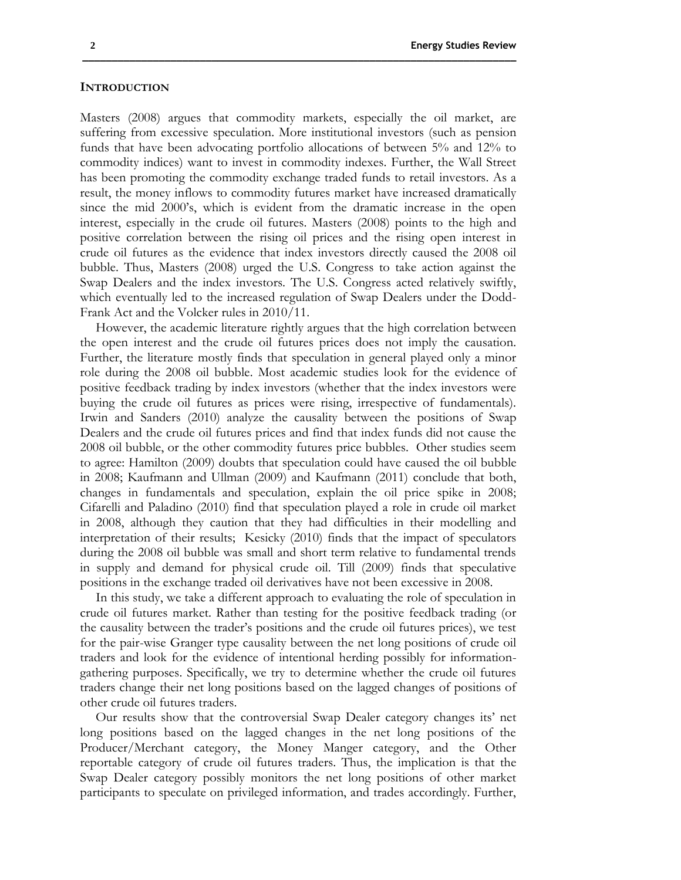#### **INTRODUCTION**

Masters (2008) argues that commodity markets, especially the oil market, are suffering from excessive speculation. More institutional investors (such as pension funds that have been advocating portfolio allocations of between 5% and 12% to commodity indices) want to invest in commodity indexes. Further, the Wall Street has been promoting the commodity exchange traded funds to retail investors. As a result, the money inflows to commodity futures market have increased dramatically since the mid 2000's, which is evident from the dramatic increase in the open interest, especially in the crude oil futures. Masters (2008) points to the high and positive correlation between the rising oil prices and the rising open interest in crude oil futures as the evidence that index investors directly caused the 2008 oil bubble. Thus, Masters (2008) urged the U.S. Congress to take action against the Swap Dealers and the index investors. The U.S. Congress acted relatively swiftly, which eventually led to the increased regulation of Swap Dealers under the Dodd-Frank Act and the Volcker rules in 2010/11.

**\_\_\_\_\_\_\_\_\_\_\_\_\_\_\_\_\_\_\_\_\_\_\_\_\_\_\_\_\_\_\_\_\_\_\_\_\_\_\_\_\_\_\_\_\_\_\_\_\_\_\_\_\_\_\_\_\_\_\_\_\_\_\_\_\_\_\_\_\_\_\_\_\_\_**

However, the academic literature rightly argues that the high correlation between the open interest and the crude oil futures prices does not imply the causation. Further, the literature mostly finds that speculation in general played only a minor role during the 2008 oil bubble. Most academic studies look for the evidence of positive feedback trading by index investors (whether that the index investors were buying the crude oil futures as prices were rising, irrespective of fundamentals). Irwin and Sanders (2010) analyze the causality between the positions of Swap Dealers and the crude oil futures prices and find that index funds did not cause the 2008 oil bubble, or the other commodity futures price bubbles. Other studies seem to agree: Hamilton (2009) doubts that speculation could have caused the oil bubble in 2008; Kaufmann and Ullman (2009) and Kaufmann (2011) conclude that both, changes in fundamentals and speculation, explain the oil price spike in 2008; Cifarelli and Paladino (2010) find that speculation played a role in crude oil market in 2008, although they caution that they had difficulties in their modelling and interpretation of their results; Kesicky (2010) finds that the impact of speculators during the 2008 oil bubble was small and short term relative to fundamental trends in supply and demand for physical crude oil. Till (2009) finds that speculative positions in the exchange traded oil derivatives have not been excessive in 2008.

In this study, we take a different approach to evaluating the role of speculation in crude oil futures market. Rather than testing for the positive feedback trading (or the causality between the trader's positions and the crude oil futures prices), we test for the pair-wise Granger type causality between the net long positions of crude oil traders and look for the evidence of intentional herding possibly for informationgathering purposes. Specifically, we try to determine whether the crude oil futures traders change their net long positions based on the lagged changes of positions of other crude oil futures traders.

Our results show that the controversial Swap Dealer category changes its' net long positions based on the lagged changes in the net long positions of the Producer/Merchant category, the Money Manger category, and the Other reportable category of crude oil futures traders. Thus, the implication is that the Swap Dealer category possibly monitors the net long positions of other market participants to speculate on privileged information, and trades accordingly. Further,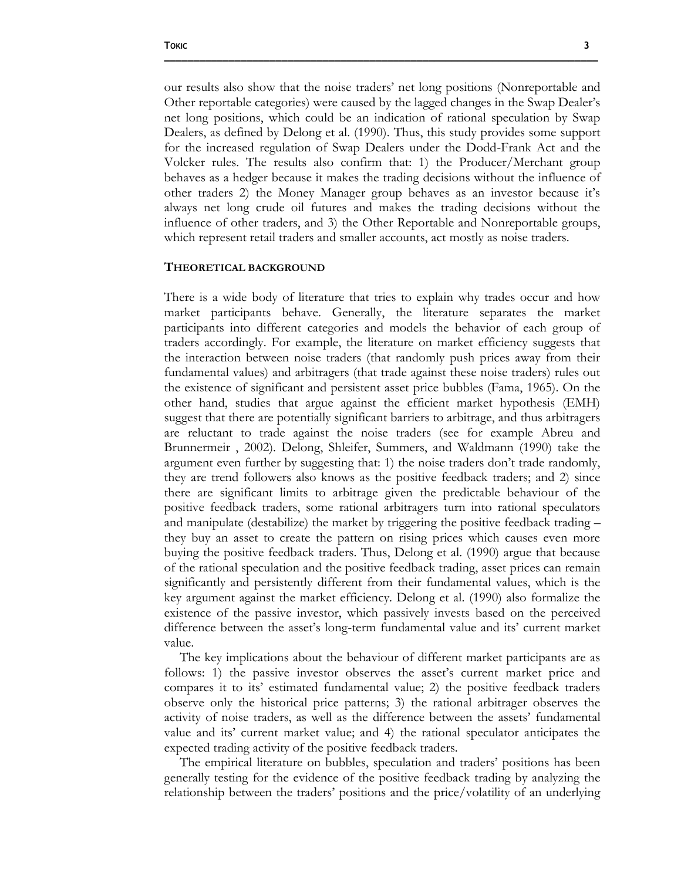our results also show that the noise traders' net long positions (Nonreportable and Other reportable categories) were caused by the lagged changes in the Swap Dealer's net long positions, which could be an indication of rational speculation by Swap Dealers, as defined by Delong et al. (1990). Thus, this study provides some support for the increased regulation of Swap Dealers under the Dodd-Frank Act and the Volcker rules. The results also confirm that: 1) the Producer/Merchant group behaves as a hedger because it makes the trading decisions without the influence of other traders 2) the Money Manager group behaves as an investor because it's always net long crude oil futures and makes the trading decisions without the influence of other traders, and 3) the Other Reportable and Nonreportable groups, which represent retail traders and smaller accounts, act mostly as noise traders.

**\_\_\_\_\_\_\_\_\_\_\_\_\_\_\_\_\_\_\_\_\_\_\_\_\_\_\_\_\_\_\_\_\_\_\_\_\_\_\_\_\_\_\_\_\_\_\_\_\_\_\_\_\_\_\_\_\_\_\_\_\_\_\_\_\_\_\_\_\_\_\_\_\_\_**

#### **THEORETICAL BACKGROUND**

There is a wide body of literature that tries to explain why trades occur and how market participants behave. Generally, the literature separates the market participants into different categories and models the behavior of each group of traders accordingly. For example, the literature on market efficiency suggests that the interaction between noise traders (that randomly push prices away from their fundamental values) and arbitragers (that trade against these noise traders) rules out the existence of significant and persistent asset price bubbles (Fama, 1965). On the other hand, studies that argue against the efficient market hypothesis (EMH) suggest that there are potentially significant barriers to arbitrage, and thus arbitragers are reluctant to trade against the noise traders (see for example Abreu and Brunnermeir , 2002). Delong, Shleifer, Summers, and Waldmann (1990) take the argument even further by suggesting that: 1) the noise traders don't trade randomly, they are trend followers also knows as the positive feedback traders; and 2) since there are significant limits to arbitrage given the predictable behaviour of the positive feedback traders, some rational arbitragers turn into rational speculators and manipulate (destabilize) the market by triggering the positive feedback trading – they buy an asset to create the pattern on rising prices which causes even more buying the positive feedback traders. Thus, Delong et al. (1990) argue that because of the rational speculation and the positive feedback trading, asset prices can remain significantly and persistently different from their fundamental values, which is the key argument against the market efficiency. Delong et al. (1990) also formalize the existence of the passive investor, which passively invests based on the perceived difference between the asset's long-term fundamental value and its' current market value.

The key implications about the behaviour of different market participants are as follows: 1) the passive investor observes the asset's current market price and compares it to its' estimated fundamental value; 2) the positive feedback traders observe only the historical price patterns; 3) the rational arbitrager observes the activity of noise traders, as well as the difference between the assets' fundamental value and its' current market value; and 4) the rational speculator anticipates the expected trading activity of the positive feedback traders.

The empirical literature on bubbles, speculation and traders' positions has been generally testing for the evidence of the positive feedback trading by analyzing the relationship between the traders' positions and the price/volatility of an underlying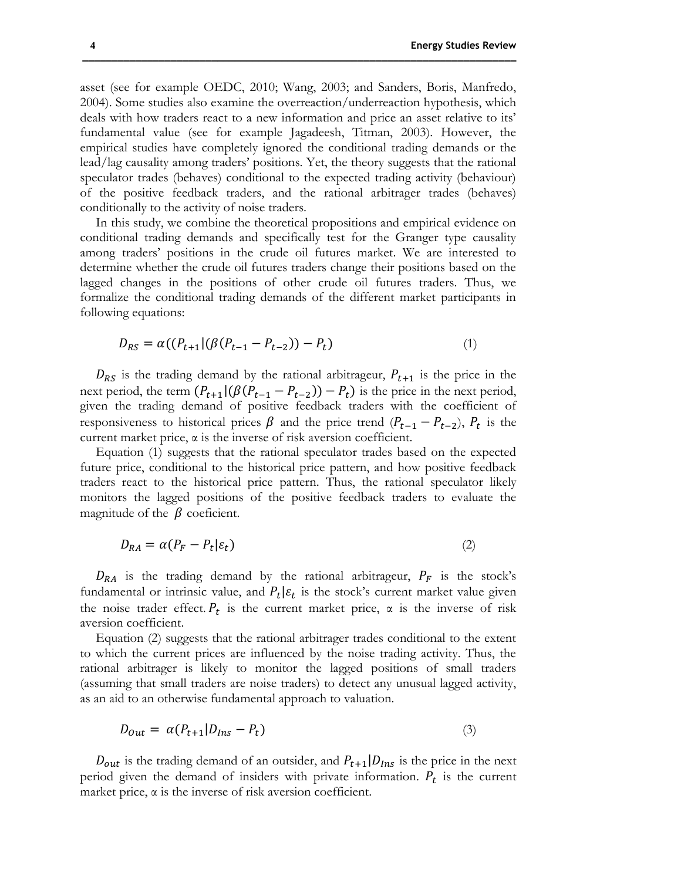asset (see for example OEDC, 2010; Wang, 2003; and Sanders, Boris, Manfredo, 2004). Some studies also examine the overreaction/underreaction hypothesis, which deals with how traders react to a new information and price an asset relative to its' fundamental value (see for example Jagadeesh, Titman, 2003). However, the empirical studies have completely ignored the conditional trading demands or the lead/lag causality among traders' positions. Yet, the theory suggests that the rational speculator trades (behaves) conditional to the expected trading activity (behaviour) of the positive feedback traders, and the rational arbitrager trades (behaves) conditionally to the activity of noise traders.

In this study, we combine the theoretical propositions and empirical evidence on conditional trading demands and specifically test for the Granger type causality among traders' positions in the crude oil futures market. We are interested to determine whether the crude oil futures traders change their positions based on the lagged changes in the positions of other crude oil futures traders. Thus, we formalize the conditional trading demands of the different market participants in following equations:

$$
D_{RS} = \alpha((P_{t+1} | (\beta(P_{t-1} - P_{t-2})) - P_t)
$$
\n(1)

 $D_{RS}$  is the trading demand by the rational arbitrageur,  $P_{t+1}$  is the price in the next period, the term  $(P_{t+1}|(\beta(P_{t-1} - P_{t-2})) - P_t)$  is the price in the next period, given the trading demand of positive feedback traders with the coefficient of responsiveness to historical prices  $\beta$  and the price trend  $(P_{t-1} - P_{t-2}), P_t$  is the current market price, α is the inverse of risk aversion coefficient.

Equation (1) suggests that the rational speculator trades based on the expected future price, conditional to the historical price pattern, and how positive feedback traders react to the historical price pattern. Thus, the rational speculator likely monitors the lagged positions of the positive feedback traders to evaluate the magnitude of the  $\beta$  coeficient.

$$
D_{RA} = \alpha (P_F - P_t | \varepsilon_t)
$$
\n<sup>(2)</sup>

 $D_{RA}$  is the trading demand by the rational arbitrageur,  $P_F$  is the stock's fundamental or intrinsic value, and  $P_t | \varepsilon_t$  is the stock's current market value given the noise trader effect.  $P_t$  is the current market price,  $\alpha$  is the inverse of risk aversion coefficient.

Equation (2) suggests that the rational arbitrager trades conditional to the extent to which the current prices are influenced by the noise trading activity. Thus, the rational arbitrager is likely to monitor the lagged positions of small traders (assuming that small traders are noise traders) to detect any unusual lagged activity, as an aid to an otherwise fundamental approach to valuation.

$$
D_{out} = \alpha (P_{t+1} | D_{Ins} - P_t) \tag{3}
$$

 $D_{out}$  is the trading demand of an outsider, and  $P_{t+1}|D_{ins}$  is the price in the next period given the demand of insiders with private information.  $P_t$  is the current market price,  $\alpha$  is the inverse of risk aversion coefficient.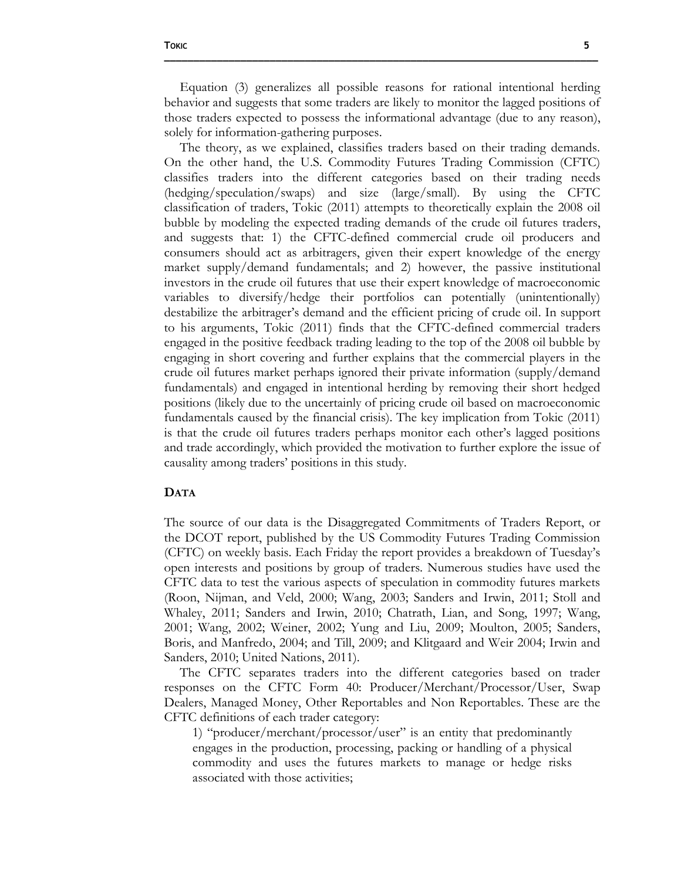Equation (3) generalizes all possible reasons for rational intentional herding behavior and suggests that some traders are likely to monitor the lagged positions of those traders expected to possess the informational advantage (due to any reason), solely for information-gathering purposes.

**\_\_\_\_\_\_\_\_\_\_\_\_\_\_\_\_\_\_\_\_\_\_\_\_\_\_\_\_\_\_\_\_\_\_\_\_\_\_\_\_\_\_\_\_\_\_\_\_\_\_\_\_\_\_\_\_\_\_\_\_\_\_\_\_\_\_\_\_\_\_\_\_\_\_**

The theory, as we explained, classifies traders based on their trading demands. On the other hand, the U.S. Commodity Futures Trading Commission (CFTC) classifies traders into the different categories based on their trading needs (hedging/speculation/swaps) and size (large/small). By using the CFTC classification of traders, Tokic (2011) attempts to theoretically explain the 2008 oil bubble by modeling the expected trading demands of the crude oil futures traders, and suggests that: 1) the CFTC-defined commercial crude oil producers and consumers should act as arbitragers, given their expert knowledge of the energy market supply/demand fundamentals; and 2) however, the passive institutional investors in the crude oil futures that use their expert knowledge of macroeconomic variables to diversify/hedge their portfolios can potentially (unintentionally) destabilize the arbitrager's demand and the efficient pricing of crude oil. In support to his arguments, Tokic (2011) finds that the CFTC-defined commercial traders engaged in the positive feedback trading leading to the top of the 2008 oil bubble by engaging in short covering and further explains that the commercial players in the crude oil futures market perhaps ignored their private information (supply/demand fundamentals) and engaged in intentional herding by removing their short hedged positions (likely due to the uncertainly of pricing crude oil based on macroeconomic fundamentals caused by the financial crisis). The key implication from Tokic (2011) is that the crude oil futures traders perhaps monitor each other's lagged positions and trade accordingly, which provided the motivation to further explore the issue of causality among traders' positions in this study.

### **DATA**

The source of our data is the Disaggregated Commitments of Traders Report, or the DCOT report, published by the US Commodity Futures Trading Commission (CFTC) on weekly basis. Each Friday the report provides a breakdown of Tuesday's open interests and positions by group of traders. Numerous studies have used the CFTC data to test the various aspects of speculation in commodity futures markets (Roon, Nijman, and Veld, 2000; Wang, 2003; Sanders and Irwin, 2011; Stoll and Whaley, 2011; Sanders and Irwin, 2010; Chatrath, Lian, and Song, 1997; Wang, 2001; Wang, 2002; Weiner, 2002; Yung and Liu, 2009; Moulton, 2005; Sanders, Boris, and Manfredo, 2004; and Till, 2009; and Klitgaard and Weir 2004; Irwin and Sanders, 2010; United Nations, 2011).

The CFTC separates traders into the different categories based on trader responses on the CFTC Form 40: Producer/Merchant/Processor/User, Swap Dealers, Managed Money, Other Reportables and Non Reportables. These are the CFTC definitions of each trader category:

1) "producer/merchant/processor/user" is an entity that predominantly engages in the production, processing, packing or handling of a physical commodity and uses the futures markets to manage or hedge risks associated with those activities;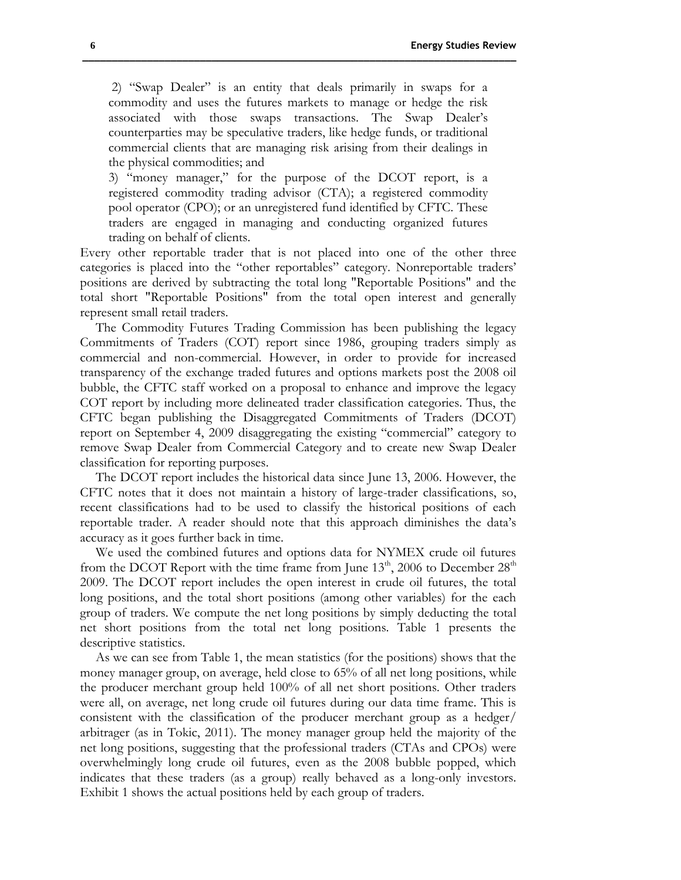2) "Swap Dealer" is an entity that deals primarily in swaps for a commodity and uses the futures markets to manage or hedge the risk associated with those swaps transactions. The Swap Dealer's counterparties may be speculative traders, like hedge funds, or traditional commercial clients that are managing risk arising from their dealings in the physical commodities; and

**\_\_\_\_\_\_\_\_\_\_\_\_\_\_\_\_\_\_\_\_\_\_\_\_\_\_\_\_\_\_\_\_\_\_\_\_\_\_\_\_\_\_\_\_\_\_\_\_\_\_\_\_\_\_\_\_\_\_\_\_\_\_\_\_\_\_\_\_\_\_\_\_\_\_**

3) "money manager," for the purpose of the DCOT report, is a registered commodity trading advisor (CTA); a registered commodity pool operator (CPO); or an unregistered fund identified by CFTC. These traders are engaged in managing and conducting organized futures trading on behalf of clients.

Every other reportable trader that is not placed into one of the other three categories is placed into the "other reportables" category. Nonreportable traders' positions are derived by subtracting the total long "Reportable Positions" and the total short "Reportable Positions" from the total open interest and generally represent small retail traders.

The Commodity Futures Trading Commission has been publishing the legacy Commitments of Traders (COT) report since 1986, grouping traders simply as commercial and non-commercial. However, in order to provide for increased transparency of the exchange traded futures and options markets post the 2008 oil bubble, the CFTC staff worked on a proposal to enhance and improve the legacy COT report by including more delineated trader classification categories. Thus, the CFTC began publishing the Disaggregated Commitments of Traders (DCOT) report on September 4, 2009 disaggregating the existing "commercial" category to remove Swap Dealer from Commercial Category and to create new Swap Dealer classification for reporting purposes.

The DCOT report includes the historical data since June 13, 2006. However, the CFTC notes that it does not maintain a history of large-trader classifications, so, recent classifications had to be used to classify the historical positions of each reportable trader. A reader should note that this approach diminishes the data's accuracy as it goes further back in time.

We used the combined futures and options data for NYMEX crude oil futures from the DCOT Report with the time frame from June  $13<sup>th</sup>$ , 2006 to December  $28<sup>th</sup>$ 2009. The DCOT report includes the open interest in crude oil futures, the total long positions, and the total short positions (among other variables) for the each group of traders. We compute the net long positions by simply deducting the total net short positions from the total net long positions. Table 1 presents the descriptive statistics.

As we can see from Table 1, the mean statistics (for the positions) shows that the money manager group, on average, held close to 65% of all net long positions, while the producer merchant group held 100% of all net short positions. Other traders were all, on average, net long crude oil futures during our data time frame. This is consistent with the classification of the producer merchant group as a hedger/ arbitrager (as in Tokic, 2011). The money manager group held the majority of the net long positions, suggesting that the professional traders (CTAs and CPOs) were overwhelmingly long crude oil futures, even as the 2008 bubble popped, which indicates that these traders (as a group) really behaved as a long-only investors. Exhibit 1 shows the actual positions held by each group of traders.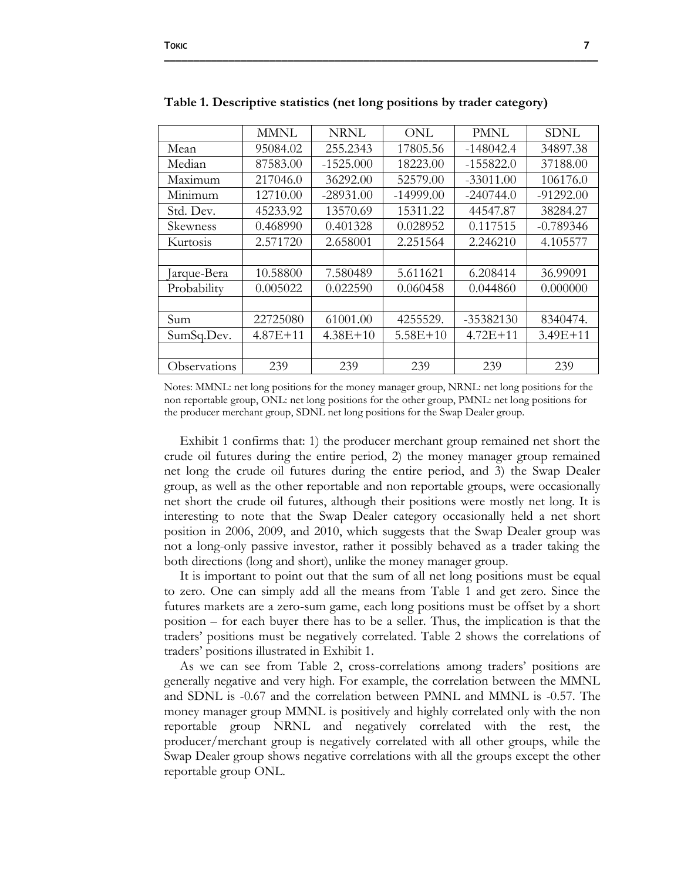|                 | MMNL         | NRNL        | ONL         | PMNL        | <b>SDNL</b>  |
|-----------------|--------------|-------------|-------------|-------------|--------------|
| Mean            | 95084.02     | 255.2343    | 17805.56    | $-148042.4$ | 34897.38     |
| Median          | 87583.00     | $-1525.000$ | 18223.00    | $-155822.0$ | 37188.00     |
| Maximum         | 217046.0     | 36292.00    | 52579.00    | $-33011.00$ | 106176.0     |
| Minimum         | 12710.00     | $-28931.00$ | $-14999.00$ | $-240744.0$ | $-91292.00$  |
| Std. Dev.       | 45233.92     | 13570.69    | 15311.22    | 44547.87    | 38284.27     |
| <b>Skewness</b> | 0.468990     | 0.401328    | 0.028952    | 0.117515    | $-0.789346$  |
| Kurtosis        | 2.571720     | 2.658001    | 2.251564    | 2.246210    | 4.105577     |
|                 |              |             |             |             |              |
| Jarque-Bera     | 10.58800     | 7.580489    | 5.611621    | 6.208414    | 36.99091     |
| Probability     | 0.005022     | 0.022590    | 0.060458    | 0.044860    | 0.000000     |
|                 |              |             |             |             |              |
| Sum             | 22725080     | 61001.00    | 4255529.    | $-35382130$ | 8340474.     |
| SumSq.Dev.      | $4.87E + 11$ | $4.38E+10$  | $5.58E+10$  | $4.72E+11$  | $3.49E + 11$ |
|                 |              |             |             |             |              |
| Observations    | 239          | 239         | 239         | 239         | 239          |

**Table 1. Descriptive statistics (net long positions by trader category)**

**\_\_\_\_\_\_\_\_\_\_\_\_\_\_\_\_\_\_\_\_\_\_\_\_\_\_\_\_\_\_\_\_\_\_\_\_\_\_\_\_\_\_\_\_\_\_\_\_\_\_\_\_\_\_\_\_\_\_\_\_\_\_\_\_\_\_\_\_\_\_\_\_\_\_**

Notes: MMNL: net long positions for the money manager group, NRNL: net long positions for the non reportable group, ONL: net long positions for the other group, PMNL: net long positions for the producer merchant group, SDNL net long positions for the Swap Dealer group.

Exhibit 1 confirms that: 1) the producer merchant group remained net short the crude oil futures during the entire period, 2) the money manager group remained net long the crude oil futures during the entire period, and 3) the Swap Dealer group, as well as the other reportable and non reportable groups, were occasionally net short the crude oil futures, although their positions were mostly net long. It is interesting to note that the Swap Dealer category occasionally held a net short position in 2006, 2009, and 2010, which suggests that the Swap Dealer group was not a long-only passive investor, rather it possibly behaved as a trader taking the both directions (long and short), unlike the money manager group.

It is important to point out that the sum of all net long positions must be equal to zero. One can simply add all the means from Table 1 and get zero. Since the futures markets are a zero-sum game, each long positions must be offset by a short position – for each buyer there has to be a seller. Thus, the implication is that the traders' positions must be negatively correlated. Table 2 shows the correlations of traders' positions illustrated in Exhibit 1.

As we can see from Table 2, cross-correlations among traders' positions are generally negative and very high. For example, the correlation between the MMNL and SDNL is -0.67 and the correlation between PMNL and MMNL is -0.57. The money manager group MMNL is positively and highly correlated only with the non reportable group NRNL and negatively correlated with the rest, the producer/merchant group is negatively correlated with all other groups, while the Swap Dealer group shows negative correlations with all the groups except the other reportable group ONL.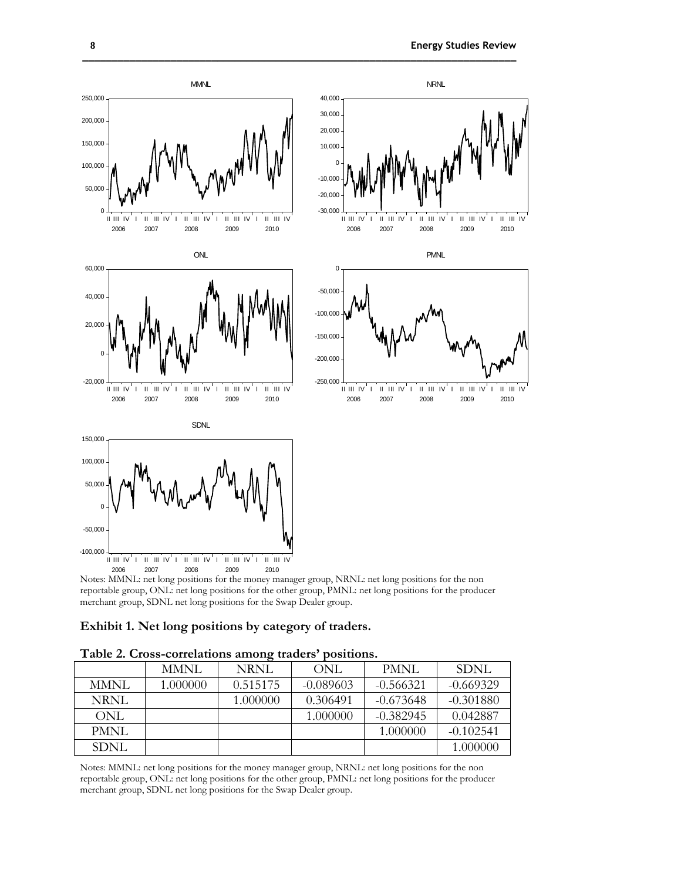

**\_\_\_\_\_\_\_\_\_\_\_\_\_\_\_\_\_\_\_\_\_\_\_\_\_\_\_\_\_\_\_\_\_\_\_\_\_\_\_\_\_\_\_\_\_\_\_\_\_\_\_\_\_\_\_\_\_\_\_\_\_\_\_\_\_\_\_\_\_\_\_\_\_\_**

merchant group, SDNL net long positions for the Swap Dealer group.

| Table 2. Cross-correlations among traders' positions. |  |  |
|-------------------------------------------------------|--|--|
|                                                       |  |  |

|       | MMNL     | NRNL     | ONL         | PMNL        | SDNL        |
|-------|----------|----------|-------------|-------------|-------------|
| MMNL  | 1.000000 | 0.515175 | $-0.089603$ | $-0.566321$ | $-0.669329$ |
| NRNL  |          | 1.000000 | 0.306491    | $-0.673648$ | $-0.301880$ |
| ONL   |          |          | 1.000000    | $-0.382945$ | 0.042887    |
| PMNL  |          |          |             | 1.000000    | $-0.102541$ |
| SDNL. |          |          |             |             | 1.000000    |

Notes: MMNL: net long positions for the money manager group, NRNL: net long positions for the non reportable group, ONL: net long positions for the other group, PMNL: net long positions for the producer merchant group, SDNL net long positions for the Swap Dealer group.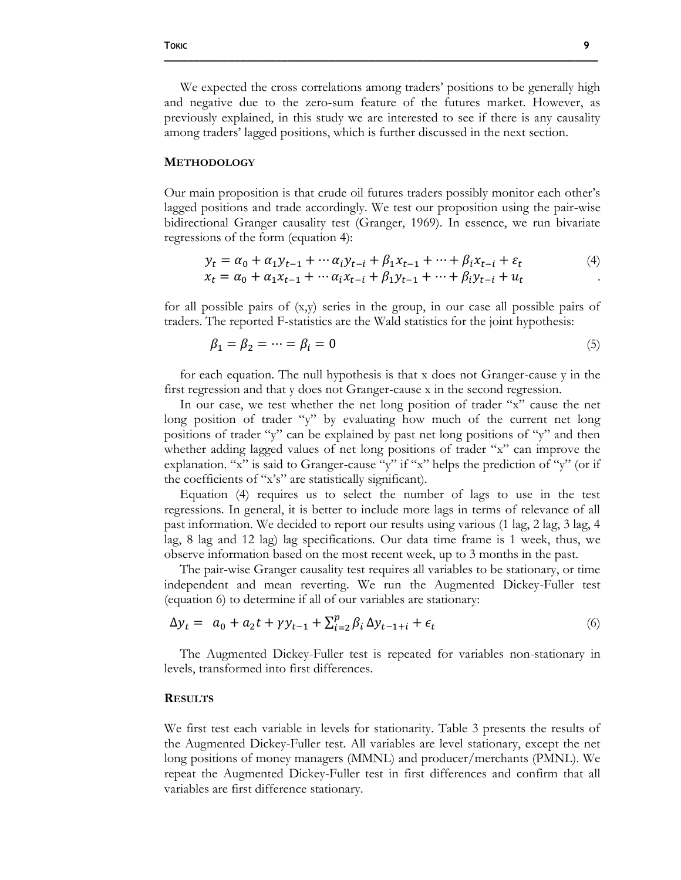We expected the cross correlations among traders' positions to be generally high and negative due to the zero-sum feature of the futures market. However, as previously explained, in this study we are interested to see if there is any causality among traders' lagged positions, which is further discussed in the next section.

**\_\_\_\_\_\_\_\_\_\_\_\_\_\_\_\_\_\_\_\_\_\_\_\_\_\_\_\_\_\_\_\_\_\_\_\_\_\_\_\_\_\_\_\_\_\_\_\_\_\_\_\_\_\_\_\_\_\_\_\_\_\_\_\_\_\_\_\_\_\_\_\_\_\_**

#### **METHODOLOGY**

Our main proposition is that crude oil futures traders possibly monitor each other's lagged positions and trade accordingly. We test our proposition using the pair-wise bidirectional Granger causality test (Granger, 1969). In essence, we run bivariate regressions of the form (equation 4):

$$
y_t = \alpha_0 + \alpha_1 y_{t-1} + \dots + \alpha_i y_{t-i} + \beta_1 x_{t-1} + \dots + \beta_i x_{t-i} + \varepsilon_t
$$
  
\n
$$
x_t = \alpha_0 + \alpha_1 x_{t-1} + \dots + \alpha_i x_{t-i} + \beta_1 y_{t-1} + \dots + \beta_i y_{t-i} + u_t
$$
 (4)

for all possible pairs of 
$$
(x,y)
$$
 series in the group, in our case all possible pairs of traders. The reported F-statistics are the Wald statistics for the joint hypothesis:

$$
\beta_1 = \beta_2 = \dots = \beta_i = 0 \tag{5}
$$

for each equation. The null hypothesis is that x does not Granger-cause y in the first regression and that y does not Granger-cause x in the second regression.

In our case, we test whether the net long position of trader "x" cause the net long position of trader "y" by evaluating how much of the current net long positions of trader "y" can be explained by past net long positions of "y" and then whether adding lagged values of net long positions of trader "x" can improve the explanation. "x" is said to Granger-cause "y" if "x" helps the prediction of "y" (or if the coefficients of "x's" are statistically significant).

Equation (4) requires us to select the number of lags to use in the test regressions. In general, it is better to include more lags in terms of relevance of all past information. We decided to report our results using various (1 lag, 2 lag, 3 lag, 4 lag, 8 lag and 12 lag) lag specifications. Our data time frame is 1 week, thus, we observe information based on the most recent week, up to 3 months in the past.

The pair-wise Granger causality test requires all variables to be stationary, or time independent and mean reverting. We run the Augmented Dickey-Fuller test (equation 6) to determine if all of our variables are stationary:

$$
\Delta y_t = a_0 + a_2 t + \gamma y_{t-1} + \sum_{i=2}^p \beta_i \, \Delta y_{t-1+i} + \epsilon_t \tag{6}
$$

The Augmented Dickey-Fuller test is repeated for variables non-stationary in levels, transformed into first differences.

#### **RESULTS**

We first test each variable in levels for stationarity. Table 3 presents the results of the Augmented Dickey-Fuller test. All variables are level stationary, except the net long positions of money managers (MMNL) and producer/merchants (PMNL). We repeat the Augmented Dickey-Fuller test in first differences and confirm that all variables are first difference stationary.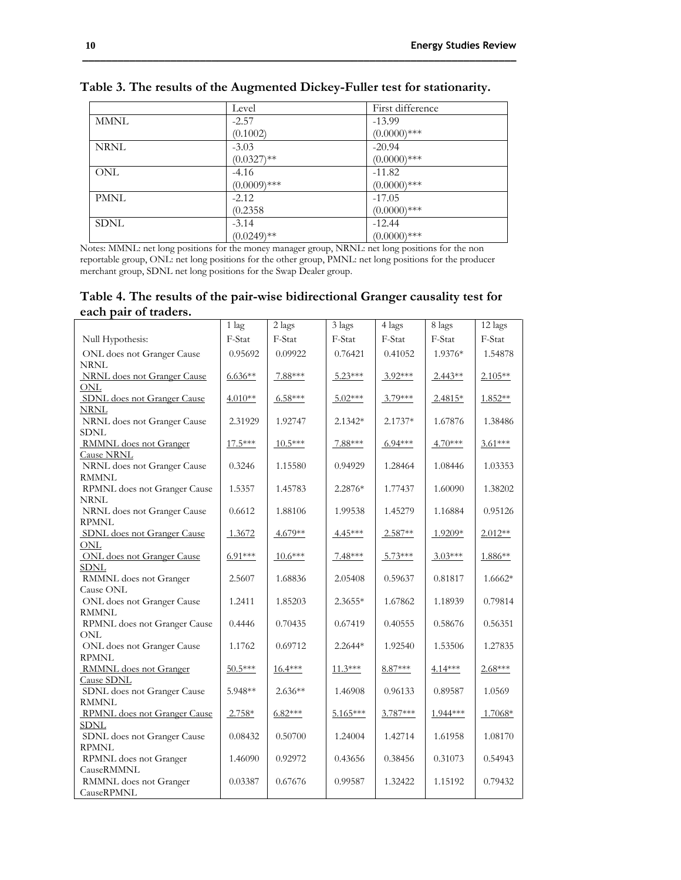|             | Level          | First difference |
|-------------|----------------|------------------|
| <b>MMNL</b> | $-2.57$        | $-13.99$         |
|             | (0.1002)       | $(0.0000)$ ***   |
| NRNL        | $-3.03$        | $-20.94$         |
|             | $(0.0327)$ **  | $(0.0000)$ ***   |
| <b>ONL</b>  | $-4.16$        | $-11.82$         |
|             | $(0.0009)$ *** | $(0.0000)$ ***   |
| <b>PMNL</b> | $-2.12$        | $-17.05$         |
|             | (0.2358)       | $(0.0000)$ ***   |
| <b>SDNL</b> | $-3.14$        | $-12.44$         |
|             | $(0.0249)$ **  | $(0.0000)$ ***   |

**Table 3. The results of the Augmented Dickey-Fuller test for stationarity.**

Notes: MMNL: net long positions for the money manager group, NRNL: net long positions for the non reportable group, ONL: net long positions for the other group, PMNL: net long positions for the producer merchant group, SDNL net long positions for the Swap Dealer group.

**Table 4. The results of the pair-wise bidirectional Granger causality test for each pair of traders.**

|                                             | $1$ lag   | 2 lags    | 3 lags     | 4 lags    | 8 lags    | 12 lags   |
|---------------------------------------------|-----------|-----------|------------|-----------|-----------|-----------|
| Null Hypothesis:                            | F-Stat    | F-Stat    | F-Stat     | F-Stat    | F-Stat    | F-Stat    |
| ONL does not Granger Cause                  | 0.95692   | 0.09922   | 0.76421    | 0.41052   | 1.9376*   | 1.54878   |
| <b>NRNL</b>                                 |           |           |            |           |           |           |
| NRNL does not Granger Cause                 | $6.636**$ | 7.88***   | $5.23***$  | $3.92***$ | $2.443**$ | $2.105**$ |
| <b>ONL</b>                                  |           |           |            |           |           |           |
| SDNL does not Granger Cause                 | $4.010**$ | $6.58***$ | $5.02***$  | $3.79***$ | $2.4815*$ | 1.852**   |
| <b>NRNL</b>                                 |           |           |            |           |           |           |
| NRNL does not Granger Cause                 | 2.31929   | 1.92747   | $2.1342*$  | 2.1737*   | 1.67876   | 1.38486   |
| <b>SDNL</b>                                 |           |           |            |           |           |           |
| <b>RMMNL</b> does not Granger               | 17.5***   | $10.5***$ | 7.88***    | $6.94***$ | $4.70***$ | $3.61***$ |
| <b>Cause NRNL</b>                           |           |           |            |           |           |           |
| NRNL does not Granger Cause                 | 0.3246    | 1.15580   | 0.94929    | 1.28464   | 1.08446   | 1.03353   |
| <b>RMMNL</b>                                |           |           |            |           |           |           |
| RPMNL does not Granger Cause                | 1.5357    | 1.45783   | 2.2876*    | 1.77437   | 1.60090   | 1.38202   |
| <b>NRNL</b><br>NRNL does not Granger Cause  | 0.6612    | 1.88106   | 1.99538    | 1.45279   | 1.16884   | 0.95126   |
| <b>RPMNL</b>                                |           |           |            |           |           |           |
| SDNL does not Granger Cause                 | 1.3672    | $4.679**$ | $4.45***$  | $2.587**$ | 1.9209*   | $2.012**$ |
| ONL                                         |           |           |            |           |           |           |
| ONL does not Granger Cause                  | $6.91***$ | $10.6***$ | $7.48***$  | $5.73***$ | $3.03***$ | $1.886**$ |
| <b>SDNL</b>                                 |           |           |            |           |           |           |
| RMMNL does not Granger                      | 2.5607    | 1.68836   | 2.05408    | 0.59637   | 0.81817   | 1.6662*   |
| Cause ONL                                   |           |           |            |           |           |           |
| ONL does not Granger Cause                  | 1.2411    | 1.85203   | $2.3655*$  | 1.67862   | 1.18939   | 0.79814   |
| <b>RMMNL</b>                                |           |           |            |           |           |           |
| RPMNL does not Granger Cause                | 0.4446    | 0.70435   | 0.67419    | 0.40555   | 0.58676   | 0.56351   |
| <b>ONL</b>                                  |           |           |            |           |           |           |
| ONL does not Granger Cause                  | 1.1762    | 0.69712   | $2.2644*$  | 1.92540   | 1.53506   | 1.27835   |
| <b>RPMNL</b>                                |           |           |            |           |           |           |
| RMMNL does not Granger                      | $50.5***$ | $16.4***$ | $11.3***$  | 8.87***   | 4.14***   | $2.68***$ |
| Cause SDNL                                  |           |           |            |           |           |           |
| SDNL does not Granger Cause<br><b>RMMNL</b> | 5.948**   | $2.636**$ | 1.46908    | 0.96133   | 0.89587   | 1.0569    |
| RPMNL does not Granger Cause                | $2.758*$  | $6.82***$ | $5.165***$ | 3.787***  | 1.944***  | 1.7068*   |
| <b>SDNL</b>                                 |           |           |            |           |           |           |
| SDNL does not Granger Cause                 | 0.08432   | 0.50700   | 1.24004    | 1.42714   | 1.61958   | 1.08170   |
| <b>RPMNL</b>                                |           |           |            |           |           |           |
| RPMNL does not Granger                      | 1.46090   | 0.92972   | 0.43656    | 0.38456   | 0.31073   | 0.54943   |
| CauseRMMNL                                  |           |           |            |           |           |           |
| RMMNL does not Granger                      | 0.03387   | 0.67676   | 0.99587    | 1.32422   | 1.15192   | 0.79432   |
| CauseRPMNL                                  |           |           |            |           |           |           |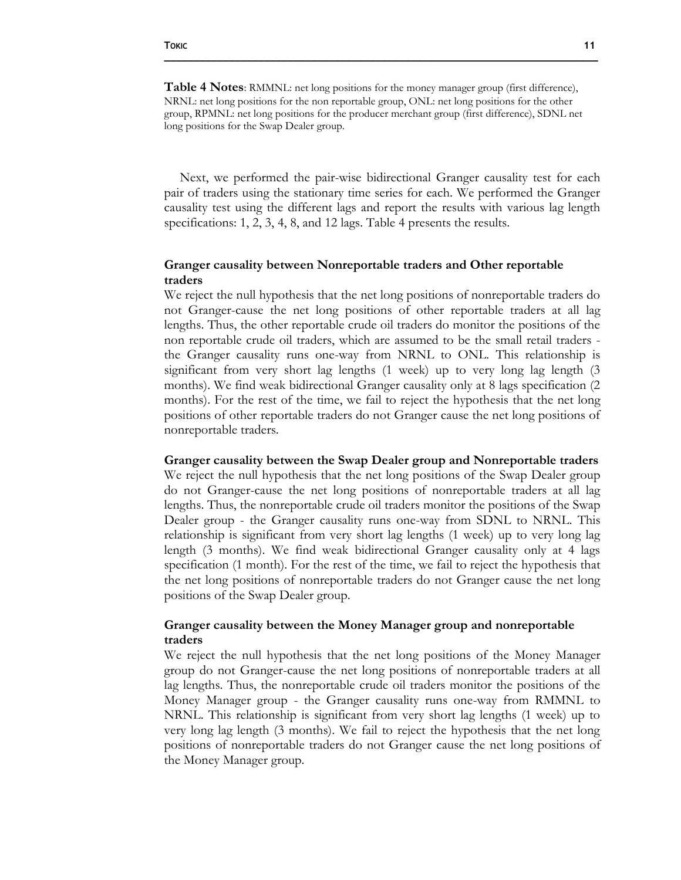**\_\_\_\_\_\_\_\_\_\_\_\_\_\_\_\_\_\_\_\_\_\_\_\_\_\_\_\_\_\_\_\_\_\_\_\_\_\_\_\_\_\_\_\_\_\_\_\_\_\_\_\_\_\_\_\_\_\_\_\_\_\_\_\_\_\_\_\_\_\_\_\_\_\_**

Next, we performed the pair-wise bidirectional Granger causality test for each pair of traders using the stationary time series for each. We performed the Granger causality test using the different lags and report the results with various lag length specifications: 1, 2, 3, 4, 8, and 12 lags. Table 4 presents the results.

### **Granger causality between Nonreportable traders and Other reportable traders**

We reject the null hypothesis that the net long positions of nonreportable traders do not Granger-cause the net long positions of other reportable traders at all lag lengths. Thus, the other reportable crude oil traders do monitor the positions of the non reportable crude oil traders, which are assumed to be the small retail traders the Granger causality runs one-way from NRNL to ONL. This relationship is significant from very short lag lengths (1 week) up to very long lag length (3 months). We find weak bidirectional Granger causality only at 8 lags specification (2 months). For the rest of the time, we fail to reject the hypothesis that the net long positions of other reportable traders do not Granger cause the net long positions of nonreportable traders.

### **Granger causality between the Swap Dealer group and Nonreportable traders**

We reject the null hypothesis that the net long positions of the Swap Dealer group do not Granger-cause the net long positions of nonreportable traders at all lag lengths. Thus, the nonreportable crude oil traders monitor the positions of the Swap Dealer group - the Granger causality runs one-way from SDNL to NRNL. This relationship is significant from very short lag lengths (1 week) up to very long lag length (3 months). We find weak bidirectional Granger causality only at 4 lags specification (1 month). For the rest of the time, we fail to reject the hypothesis that the net long positions of nonreportable traders do not Granger cause the net long positions of the Swap Dealer group.

### **Granger causality between the Money Manager group and nonreportable traders**

We reject the null hypothesis that the net long positions of the Money Manager group do not Granger-cause the net long positions of nonreportable traders at all lag lengths. Thus, the nonreportable crude oil traders monitor the positions of the Money Manager group - the Granger causality runs one-way from RMMNL to NRNL. This relationship is significant from very short lag lengths (1 week) up to very long lag length (3 months). We fail to reject the hypothesis that the net long positions of nonreportable traders do not Granger cause the net long positions of the Money Manager group.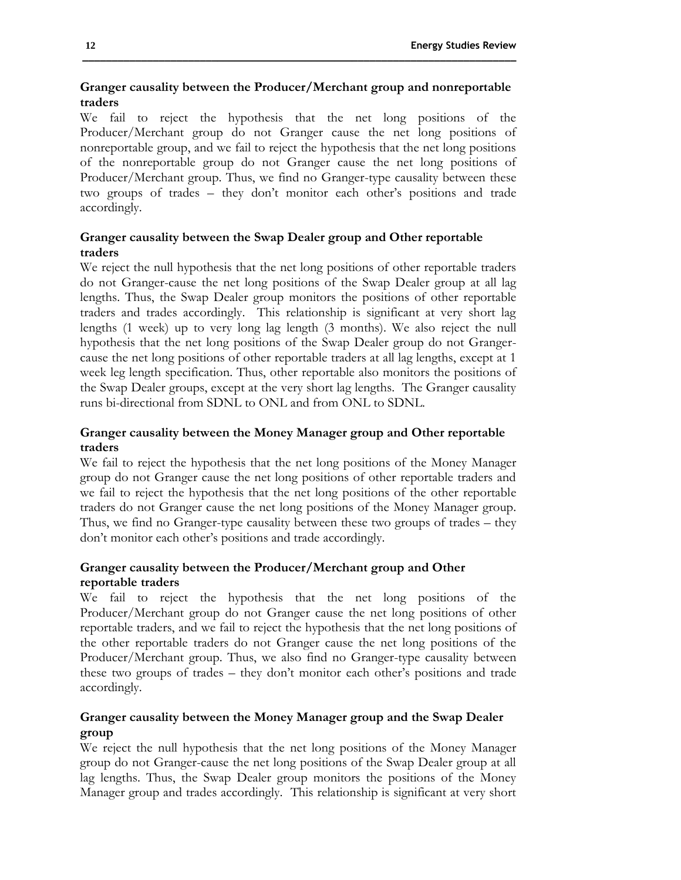### **Granger causality between the Producer/Merchant group and nonreportable traders**

We fail to reject the hypothesis that the net long positions of the Producer/Merchant group do not Granger cause the net long positions of nonreportable group, and we fail to reject the hypothesis that the net long positions of the nonreportable group do not Granger cause the net long positions of Producer/Merchant group. Thus, we find no Granger-type causality between these two groups of trades – they don't monitor each other's positions and trade accordingly.

### **Granger causality between the Swap Dealer group and Other reportable traders**

We reject the null hypothesis that the net long positions of other reportable traders do not Granger-cause the net long positions of the Swap Dealer group at all lag lengths. Thus, the Swap Dealer group monitors the positions of other reportable traders and trades accordingly. This relationship is significant at very short lag lengths (1 week) up to very long lag length (3 months). We also reject the null hypothesis that the net long positions of the Swap Dealer group do not Grangercause the net long positions of other reportable traders at all lag lengths, except at 1 week leg length specification. Thus, other reportable also monitors the positions of the Swap Dealer groups, except at the very short lag lengths. The Granger causality runs bi-directional from SDNL to ONL and from ONL to SDNL.

### **Granger causality between the Money Manager group and Other reportable traders**

We fail to reject the hypothesis that the net long positions of the Money Manager group do not Granger cause the net long positions of other reportable traders and we fail to reject the hypothesis that the net long positions of the other reportable traders do not Granger cause the net long positions of the Money Manager group. Thus, we find no Granger-type causality between these two groups of trades – they don't monitor each other's positions and trade accordingly.

### **Granger causality between the Producer/Merchant group and Other reportable traders**

We fail to reject the hypothesis that the net long positions of the Producer/Merchant group do not Granger cause the net long positions of other reportable traders, and we fail to reject the hypothesis that the net long positions of the other reportable traders do not Granger cause the net long positions of the Producer/Merchant group. Thus, we also find no Granger-type causality between these two groups of trades – they don't monitor each other's positions and trade accordingly.

### **Granger causality between the Money Manager group and the Swap Dealer group**

We reject the null hypothesis that the net long positions of the Money Manager group do not Granger-cause the net long positions of the Swap Dealer group at all lag lengths. Thus, the Swap Dealer group monitors the positions of the Money Manager group and trades accordingly. This relationship is significant at very short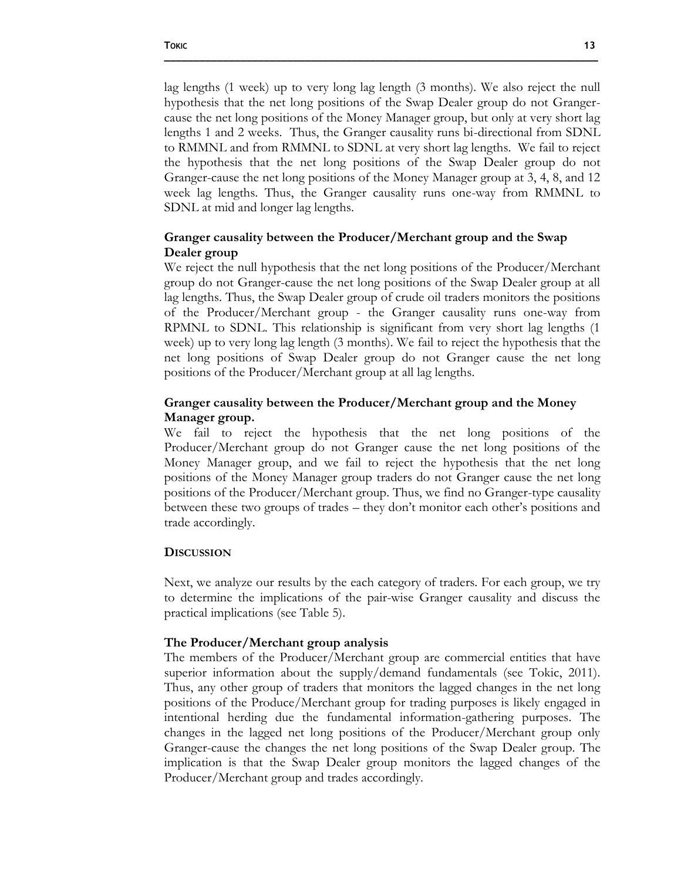lag lengths (1 week) up to very long lag length (3 months). We also reject the null hypothesis that the net long positions of the Swap Dealer group do not Grangercause the net long positions of the Money Manager group, but only at very short lag lengths 1 and 2 weeks. Thus, the Granger causality runs bi-directional from SDNL to RMMNL and from RMMNL to SDNL at very short lag lengths. We fail to reject the hypothesis that the net long positions of the Swap Dealer group do not Granger-cause the net long positions of the Money Manager group at 3, 4, 8, and 12 week lag lengths. Thus, the Granger causality runs one-way from RMMNL to SDNL at mid and longer lag lengths.

### **Granger causality between the Producer/Merchant group and the Swap Dealer group**

We reject the null hypothesis that the net long positions of the Producer/Merchant group do not Granger-cause the net long positions of the Swap Dealer group at all lag lengths. Thus, the Swap Dealer group of crude oil traders monitors the positions of the Producer/Merchant group - the Granger causality runs one-way from RPMNL to SDNL. This relationship is significant from very short lag lengths (1 week) up to very long lag length (3 months). We fail to reject the hypothesis that the net long positions of Swap Dealer group do not Granger cause the net long positions of the Producer/Merchant group at all lag lengths.

### **Granger causality between the Producer/Merchant group and the Money Manager group.**

We fail to reject the hypothesis that the net long positions of the Producer/Merchant group do not Granger cause the net long positions of the Money Manager group, and we fail to reject the hypothesis that the net long positions of the Money Manager group traders do not Granger cause the net long positions of the Producer/Merchant group. Thus, we find no Granger-type causality between these two groups of trades – they don't monitor each other's positions and trade accordingly.

### **DISCUSSION**

Next, we analyze our results by the each category of traders. For each group, we try to determine the implications of the pair-wise Granger causality and discuss the practical implications (see Table 5).

#### **The Producer/Merchant group analysis**

The members of the Producer/Merchant group are commercial entities that have superior information about the supply/demand fundamentals (see Tokic, 2011). Thus, any other group of traders that monitors the lagged changes in the net long positions of the Produce/Merchant group for trading purposes is likely engaged in intentional herding due the fundamental information-gathering purposes. The changes in the lagged net long positions of the Producer/Merchant group only Granger-cause the changes the net long positions of the Swap Dealer group. The implication is that the Swap Dealer group monitors the lagged changes of the Producer/Merchant group and trades accordingly.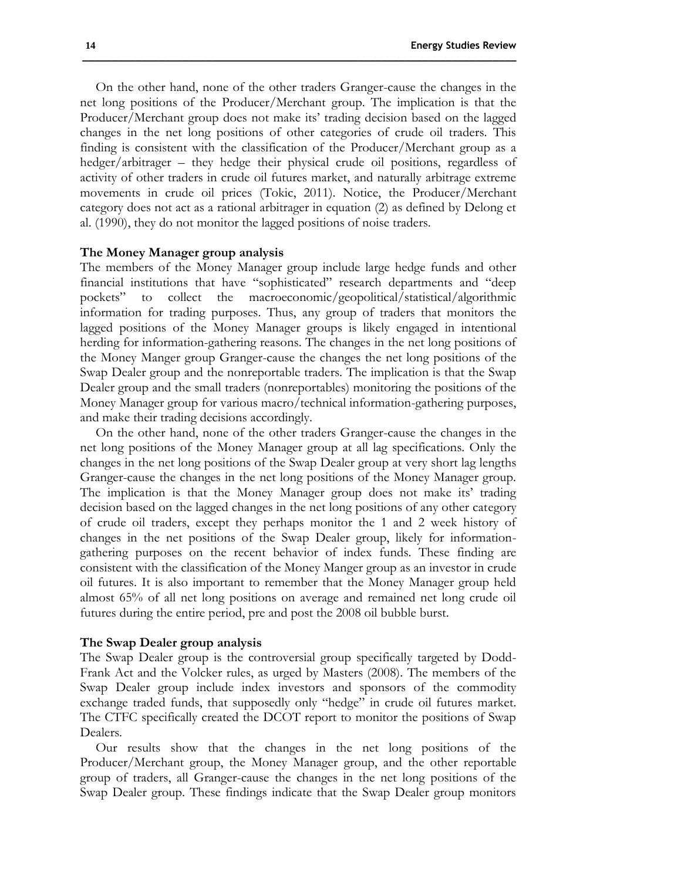On the other hand, none of the other traders Granger-cause the changes in the net long positions of the Producer/Merchant group. The implication is that the Producer/Merchant group does not make its' trading decision based on the lagged changes in the net long positions of other categories of crude oil traders. This finding is consistent with the classification of the Producer/Merchant group as a hedger/arbitrager – they hedge their physical crude oil positions, regardless of activity of other traders in crude oil futures market, and naturally arbitrage extreme movements in crude oil prices (Tokic, 2011). Notice, the Producer/Merchant category does not act as a rational arbitrager in equation (2) as defined by Delong et al. (1990), they do not monitor the lagged positions of noise traders.

### **The Money Manager group analysis**

The members of the Money Manager group include large hedge funds and other financial institutions that have "sophisticated" research departments and "deep pockets" to collect the macroeconomic/geopolitical/statistical/algorithmic information for trading purposes. Thus, any group of traders that monitors the lagged positions of the Money Manager groups is likely engaged in intentional herding for information-gathering reasons. The changes in the net long positions of the Money Manger group Granger-cause the changes the net long positions of the Swap Dealer group and the nonreportable traders. The implication is that the Swap Dealer group and the small traders (nonreportables) monitoring the positions of the Money Manager group for various macro/technical information-gathering purposes, and make their trading decisions accordingly.

On the other hand, none of the other traders Granger-cause the changes in the net long positions of the Money Manager group at all lag specifications. Only the changes in the net long positions of the Swap Dealer group at very short lag lengths Granger-cause the changes in the net long positions of the Money Manager group. The implication is that the Money Manager group does not make its' trading decision based on the lagged changes in the net long positions of any other category of crude oil traders, except they perhaps monitor the 1 and 2 week history of changes in the net positions of the Swap Dealer group, likely for informationgathering purposes on the recent behavior of index funds. These finding are consistent with the classification of the Money Manger group as an investor in crude oil futures. It is also important to remember that the Money Manager group held almost 65% of all net long positions on average and remained net long crude oil futures during the entire period, pre and post the 2008 oil bubble burst.

#### **The Swap Dealer group analysis**

The Swap Dealer group is the controversial group specifically targeted by Dodd-Frank Act and the Volcker rules, as urged by Masters (2008). The members of the Swap Dealer group include index investors and sponsors of the commodity exchange traded funds, that supposedly only "hedge" in crude oil futures market. The CTFC specifically created the DCOT report to monitor the positions of Swap Dealers.

Our results show that the changes in the net long positions of the Producer/Merchant group, the Money Manager group, and the other reportable group of traders, all Granger-cause the changes in the net long positions of the Swap Dealer group. These findings indicate that the Swap Dealer group monitors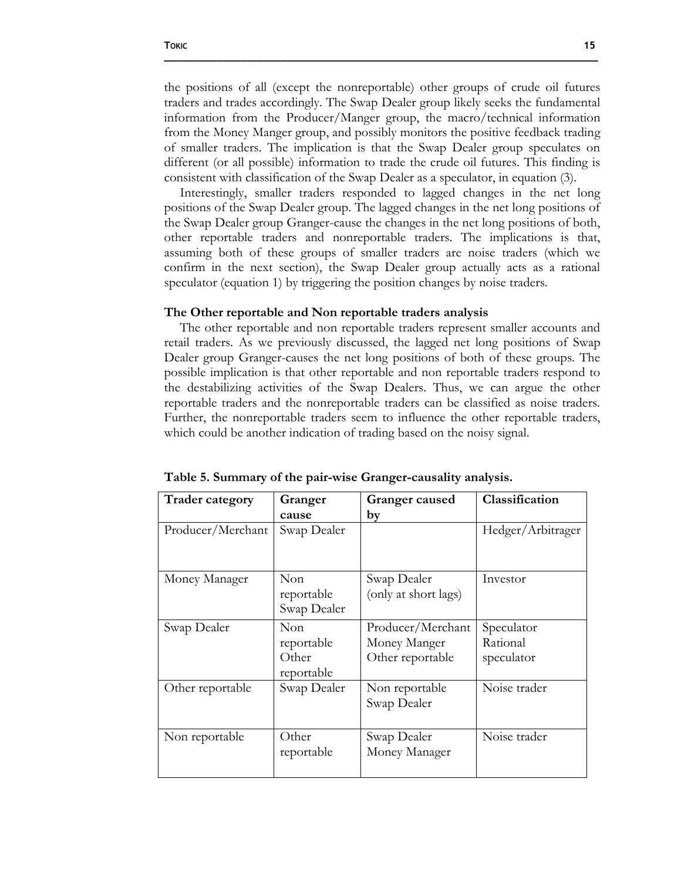the positions of all (except the nonreportable) other groups of crude oil futures traders and trades accordingly. The Swap Dealer group likely seeks the fundamental information from the Producer/Manger group, the macro/technical information from the Money Manger group, and possibly monitors the positive feedback trading of smaller traders. The implication is that the Swap Dealer group speculates on different (or all possible) information to trade the crude oil futures. This finding is consistent with classification of the Swap Dealer as a speculator, in equation (3).

Interestingly, smaller traders responded to lagged changes in the net long positions of the Swap Dealer group. The lagged changes in the net long positions of the Swap Dealer group Granger-cause the changes in the net long positions of both, other reportable traders and nonreportable traders. The implications is that, assuming both of these groups of smaller traders are noise traders (which we confirm in the next section), the Swap Dealer group actually acts as a rational speculator (equation 1) by triggering the position changes by noise traders.

#### **The Other reportable and Non reportable traders analysis**

The other reportable and non reportable traders represent smaller accounts and retail traders. As we previously discussed, the lagged net long positions of Swap Dealer group Granger-causes the net long positions of both of these groups. The possible implication is that other reportable and non reportable traders respond to the destabilizing activities of the Swap Dealers. Thus, we can argue the other reportable traders and the nonreportable traders can be classified as noise traders. Further, the nonreportable traders seem to influence the other reportable traders, which could be another indication of trading based on the noisy signal.

| <b>Trader category</b> | Granger             | Granger caused       | Classification    |
|------------------------|---------------------|----------------------|-------------------|
|                        | cause               | by                   |                   |
| Producer/Merchant      | Swap Dealer         |                      | Hedger/Arbitrager |
|                        |                     |                      |                   |
| Money Manager          | Non                 | Swap Dealer          | Investor          |
|                        | reportable          | (only at short lags) |                   |
|                        | Swap Dealer         |                      |                   |
| Swap Dealer            | Non                 | Producer/Merchant    | Speculator        |
|                        | reportable          | Money Manger         | Rational          |
|                        | Other<br>reportable | Other reportable     | speculator        |
| Other reportable       | Swap Dealer         | Non reportable       | Noise trader      |
|                        |                     | Swap Dealer          |                   |
| Non reportable         | Other               | Swap Dealer          | Noise trader      |
|                        | reportable          | Money Manager        |                   |
|                        |                     |                      |                   |

**Table 5. Summary of the pair-wise Granger-causality analysis.**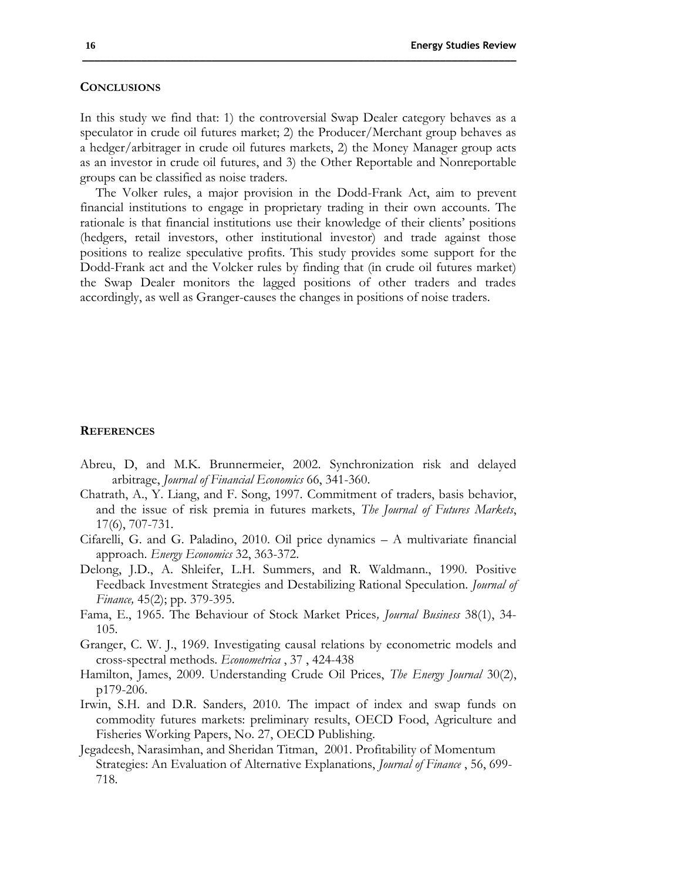#### **CONCLUSIONS**

In this study we find that: 1) the controversial Swap Dealer category behaves as a speculator in crude oil futures market; 2) the Producer/Merchant group behaves as a hedger/arbitrager in crude oil futures markets, 2) the Money Manager group acts as an investor in crude oil futures, and 3) the Other Reportable and Nonreportable groups can be classified as noise traders.

The Volker rules, a major provision in the Dodd-Frank Act, aim to prevent financial institutions to engage in proprietary trading in their own accounts. The rationale is that financial institutions use their knowledge of their clients' positions (hedgers, retail investors, other institutional investor) and trade against those positions to realize speculative profits. This study provides some support for the Dodd-Frank act and the Volcker rules by finding that (in crude oil futures market) the Swap Dealer monitors the lagged positions of other traders and trades accordingly, as well as Granger-causes the changes in positions of noise traders.

### **REFERENCES**

- Abreu, D, and M.K. Brunnermeier, 2002. Synchronization risk and delayed arbitrage, *Journal of Financial Economics* 66, 341-360.
- Chatrath, A., Y. Liang, and F. Song, 1997. Commitment of traders, basis behavior, and the issue of risk premia in futures markets, *The Journal of Futures Markets*, 17(6), 707-731.
- Cifarelli, G. and G. Paladino, 2010. Oil price dynamics A multivariate financial approach. *Energy Economics* 32, 363-372.
- Delong, J.D., A. Shleifer, L.H. Summers, and R. Waldmann., 1990. Positive Feedback Investment Strategies and Destabilizing Rational Speculation. *Journal of Finance,* 45(2); pp. 379-395.
- Fama, E., 1965. The Behaviour of Stock Market Prices*, Journal Business* 38(1), 34- 105.
- Granger, C. W. J., 1969. Investigating causal relations by econometric models and cross-spectral methods. *Econometrica* , 37 , 424-438
- Hamilton, James, 2009. Understanding Crude Oil Prices, *The Energy Journal* 30(2), p179-206.
- Irwin, S.H. and D.R. Sanders, 2010. The impact of index and swap funds on commodity futures markets: preliminary results, OECD Food, Agriculture and Fisheries Working Papers, No. 27, OECD Publishing.
- Jegadeesh, Narasimhan, and Sheridan Titman, 2001. Profitability of Momentum Strategies: An Evaluation of Alternative Explanations, *Journal of Finance* , 56, 699- 718.